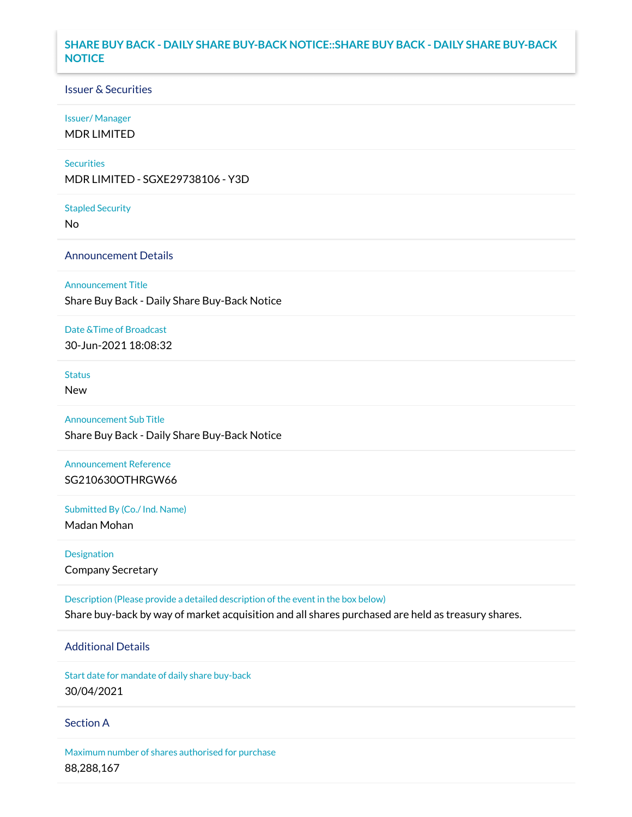## **SHARE BUY BACK - DAILY SHARE BUY-BACK NOTICE::SHARE BUY BACK - DAILY SHARE BUY-BACK NOTICE**

### Issuer & Securities

#### Issuer/ Manager

MDR LIMITED

#### **Securities**

MDR LIMITED - SGXE29738106 - Y3D

#### Stapled Security

No

### Announcement Details

Announcement Title

Share Buy Back - Daily Share Buy-Back Notice

#### Date &Time of Broadcast

30-Jun-2021 18:08:32

# Status

New

### Announcement Sub Title

Share Buy Back - Daily Share Buy-Back Notice

## Announcement Reference SG210630OTHRGW66

Submitted By (Co./ Ind. Name)

Madan Mohan

Designation Company Secretary

Description (Please provide a detailed description of the event in the box below) Share buy-back by way of market acquisition and all shares purchased are held as treasury shares.

## Additional Details

Start date for mandate of daily share buy-back 30/04/2021

### Section A

Maximum number of shares authorised for purchase 88,288,167